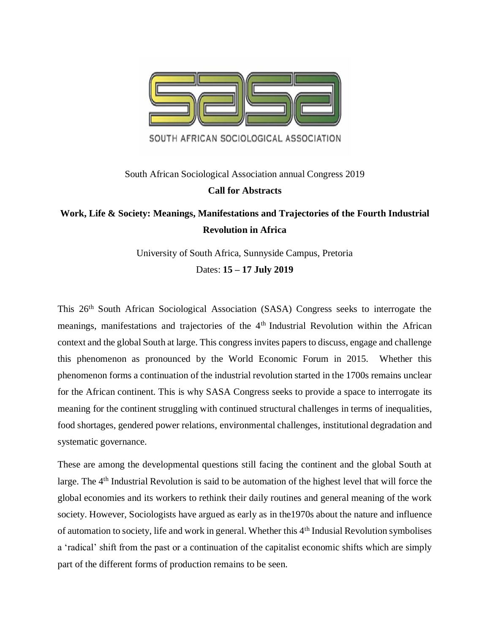

# South African Sociological Association annual Congress 2019 **Call for Abstracts**

# **Work, Life & Society: Meanings, Manifestations and Trajectories of the Fourth Industrial Revolution in Africa**

University of South Africa, Sunnyside Campus, Pretoria Dates: **15 – 17 July 2019**

This 26th South African Sociological Association (SASA) Congress seeks to interrogate the meanings, manifestations and trajectories of the 4<sup>th</sup> Industrial Revolution within the African context and the global South at large. This congress invites papers to discuss, engage and challenge this phenomenon as pronounced by the World Economic Forum in 2015. Whether this phenomenon forms a continuation of the industrial revolution started in the 1700s remains unclear for the African continent. This is why SASA Congress seeks to provide a space to interrogate its meaning for the continent struggling with continued structural challenges in terms of inequalities, food shortages, gendered power relations, environmental challenges, institutional degradation and systematic governance.

These are among the developmental questions still facing the continent and the global South at large. The 4<sup>th</sup> Industrial Revolution is said to be automation of the highest level that will force the global economies and its workers to rethink their daily routines and general meaning of the work society. However, Sociologists have argued as early as in the1970s about the nature and influence of automation to society, life and work in general. Whether this 4th Indusial Revolution symbolises a 'radical' shift from the past or a continuation of the capitalist economic shifts which are simply part of the different forms of production remains to be seen.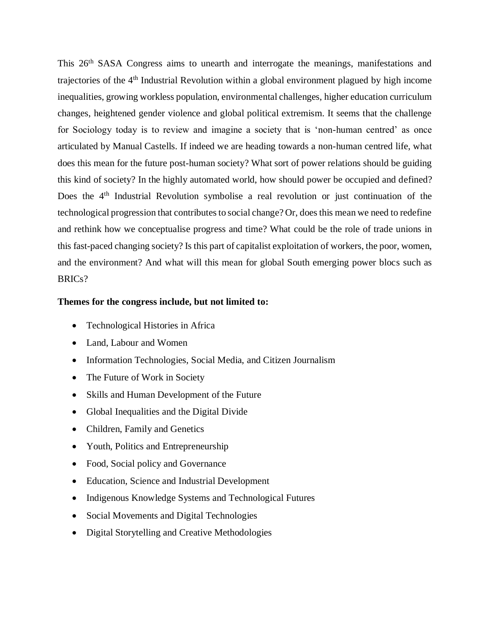This 26<sup>th</sup> SASA Congress aims to unearth and interrogate the meanings, manifestations and trajectories of the 4th Industrial Revolution within a global environment plagued by high income inequalities, growing workless population, environmental challenges, higher education curriculum changes, heightened gender violence and global political extremism. It seems that the challenge for Sociology today is to review and imagine a society that is 'non-human centred' as once articulated by Manual Castells. If indeed we are heading towards a non-human centred life, what does this mean for the future post-human society? What sort of power relations should be guiding this kind of society? In the highly automated world, how should power be occupied and defined? Does the 4<sup>th</sup> Industrial Revolution symbolise a real revolution or just continuation of the technological progression that contributes to social change? Or, does this mean we need to redefine and rethink how we conceptualise progress and time? What could be the role of trade unions in this fast-paced changing society? Is this part of capitalist exploitation of workers, the poor, women, and the environment? And what will this mean for global South emerging power blocs such as BRICs?

#### **Themes for the congress include, but not limited to:**

- Technological Histories in Africa
- Land, Labour and Women
- Information Technologies, Social Media, and Citizen Journalism
- The Future of Work in Society
- Skills and Human Development of the Future
- Global Inequalities and the Digital Divide
- Children, Family and Genetics
- Youth, Politics and Entrepreneurship
- Food, Social policy and Governance
- Education, Science and Industrial Development
- Indigenous Knowledge Systems and Technological Futures
- Social Movements and Digital Technologies
- Digital Storytelling and Creative Methodologies